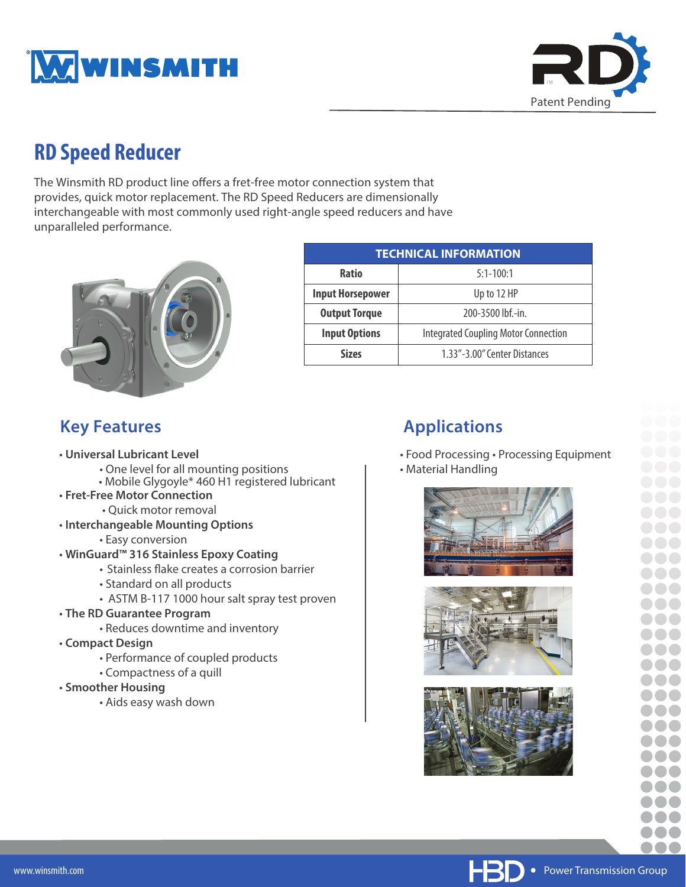



# **RD Speed Reducer**

The Winsmith RD product line offers a fret-free motor connection system that provides, quick motor replacement. The RD Speed Reducers are dimensionally interchangeable with most commonly used right-angle speed reducers and have unparalleled performance.



| <b>TECHNICAL INFORMATION</b> |                                             |
|------------------------------|---------------------------------------------|
| <b>Ratio</b>                 | $5:1 - 100:1$                               |
| <b>Input Horsepower</b>      | Up to 12 HP                                 |
| <b>Output Torque</b>         | 200-3500 lbf.-in.                           |
| <b>Input Options</b>         | <b>Integrated Coupling Motor Connection</b> |
| <b>Sizes</b>                 | 1.33"-3.00" Center Distances                |

### **Key Features**

- **Universal Lubricant Level**
	- One level for all mounting positions
	- Mobile Glygoyle\* 460 H1 registered lubricant
- **Fret-Free Motor Connection**
	- Quick motor removal
- **Interchangeable Mounting Options**
	- Easy conversion
- **WinGuard™ 316 Stainless Epoxy Coating**
	- Stainless flake creates a corrosion barrier
	- Standard on all products
	- ASTM B-117 1000 hour salt spray test proven
- **The RD Guarantee Program**
	- Reduces downtime and inventory
- **Compact Design**
	- Performance of coupled products
	- Compactness of a quill
- **Smoother Housing**
	- Aids easy wash down

## **Applications**

- Food Processing Processing Equipment
- Material Handling